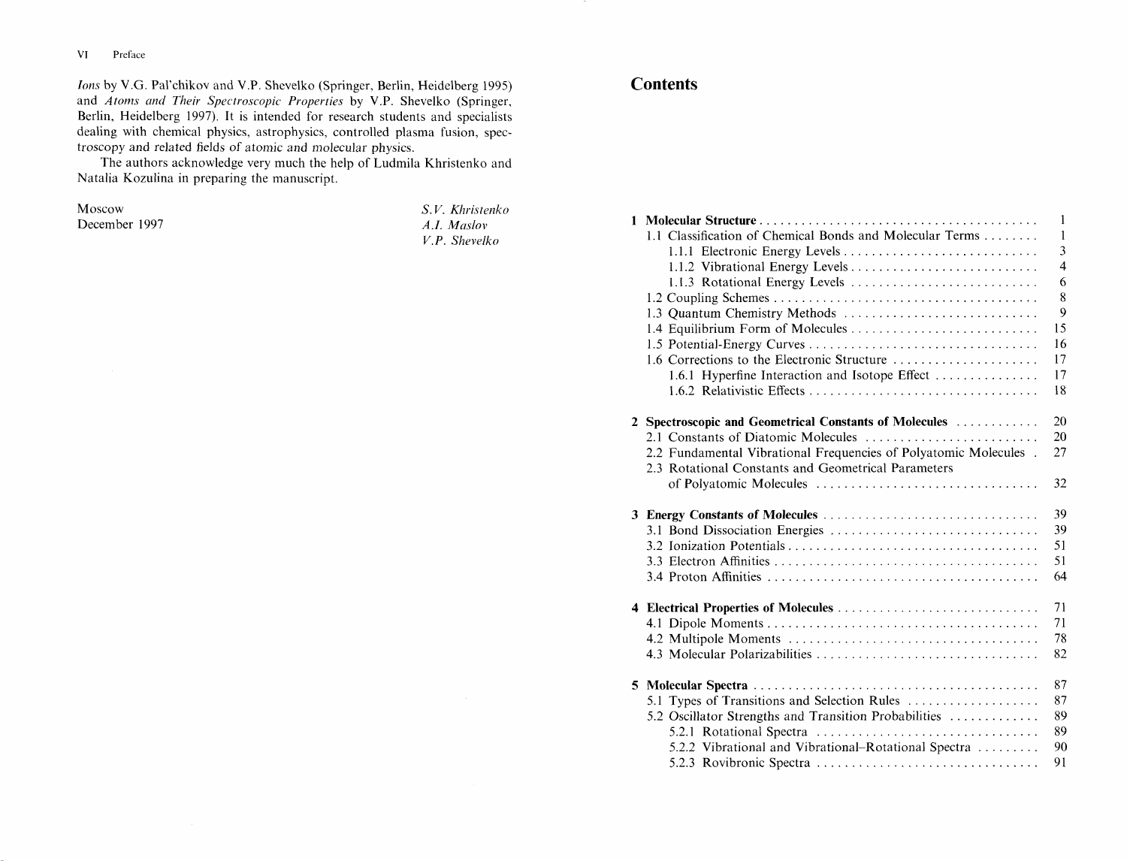**VI** Preface

*Ions* by V.G. Pal'chikov and V.P. Shevelko (Springer, Berlin, Heidelberg 1995) and Atoms and Their Spectroscopic Properties by V.P. Shevelko (Springer, Berlin, Heidelberg 1997). It is intended for research students and specialists dealing with chemical physics, astrophysics, controlled plasma fusion, spectroscopy and related fields of atomic and molecular physics.

The authors acknowledge very much the help of Ludmila Khristenko and Natalia Kozulina in preparing the manuscript.

Moscow December 1997

S.V. Khristenko A.I. Maslov V.P. Shevelko

## **Contents**

| $\mathbf{1}$                                                     |                |  |  |  |
|------------------------------------------------------------------|----------------|--|--|--|
| 1.1 Classification of Chemical Bonds and Molecular Terms         | $\mathbf{1}$   |  |  |  |
|                                                                  | $\overline{3}$ |  |  |  |
|                                                                  | $\overline{4}$ |  |  |  |
| 1.1.3 Rotational Energy Levels                                   | 6              |  |  |  |
|                                                                  | 8              |  |  |  |
| 1.3 Quantum Chemistry Methods                                    | 9              |  |  |  |
| 1.4 Equilibrium Form of Molecules                                | 15             |  |  |  |
|                                                                  | 16             |  |  |  |
| 1.6 Corrections to the Electronic Structure                      | 17             |  |  |  |
| 1.6.1 Hyperfine Interaction and Isotope Effect                   | 17             |  |  |  |
|                                                                  | 18             |  |  |  |
| 2 Spectroscopic and Geometrical Constants of Molecules           | 20             |  |  |  |
| 2.1 Constants of Diatomic Molecules                              | 20             |  |  |  |
| 2.2 Fundamental Vibrational Frequencies of Polyatomic Molecules. | 27             |  |  |  |
| 2.3 Rotational Constants and Geometrical Parameters              |                |  |  |  |
| of Polyatomic Molecules                                          | 32             |  |  |  |
| 3 Energy Constants of Molecules                                  | 39             |  |  |  |
| 3.1 Bond Dissociation Energies                                   | 39             |  |  |  |
|                                                                  | 51             |  |  |  |
|                                                                  | 51             |  |  |  |
|                                                                  | 64             |  |  |  |
| 4 Electrical Properties of Molecules                             | 71             |  |  |  |
|                                                                  | 71             |  |  |  |
|                                                                  | 78             |  |  |  |
|                                                                  | 82             |  |  |  |
|                                                                  | 87             |  |  |  |
| 5.1 Types of Transitions and Selection Rules                     | 87             |  |  |  |
| 5.2 Oscillator Strengths and Transition Probabilities            | 89             |  |  |  |
|                                                                  | 89             |  |  |  |
| 5.2.2 Vibrational and Vibrational-Rotational Spectra             | 90             |  |  |  |
|                                                                  | 91             |  |  |  |